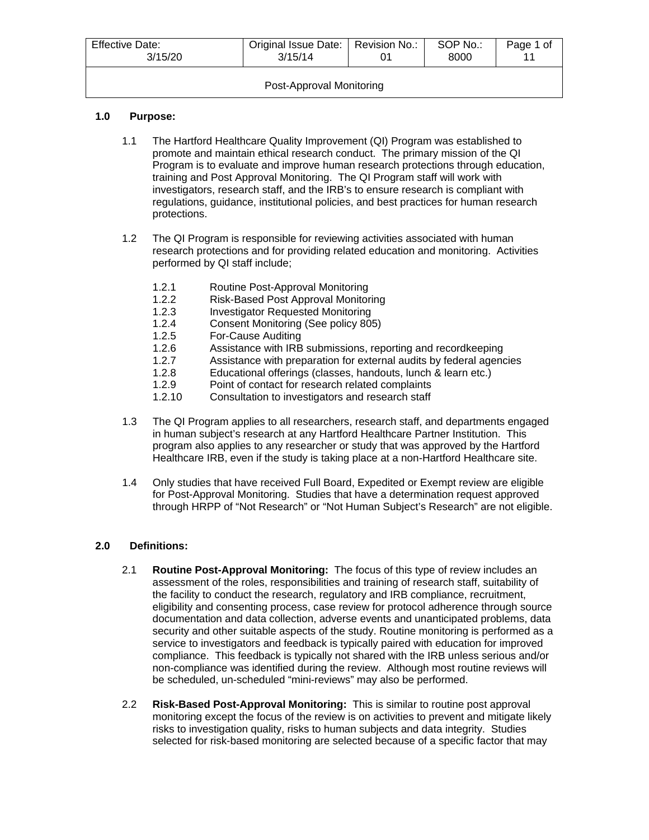| <b>Effective Date:</b><br>3/15/20 | Original Issue Date:   Revision No.:<br>3/15/14 |  | SOP No.:<br>8000 | Page 1 of |
|-----------------------------------|-------------------------------------------------|--|------------------|-----------|
| Post-Approval Monitoring          |                                                 |  |                  |           |

# **1.0 Purpose:**

- 1.1 The Hartford Healthcare Quality Improvement (QI) Program was established to promote and maintain ethical research conduct. The primary mission of the QI Program is to evaluate and improve human research protections through education, training and Post Approval Monitoring. The QI Program staff will work with investigators, research staff, and the IRB's to ensure research is compliant with regulations, guidance, institutional policies, and best practices for human research protections.
- 1.2 The QI Program is responsible for reviewing activities associated with human research protections and for providing related education and monitoring. Activities performed by QI staff include;
	- 1.2.1 Routine Post-Approval Monitoring
	- 1.2.2 Risk-Based Post Approval Monitoring<br>1.2.3 Investigator Requested Monitoring
	- **Investigator Requested Monitoring**
	- 1.2.4 Consent Monitoring (See policy 805)
	- 1.2.5 For-Cause Auditing
	- 1.2.6 Assistance with IRB submissions, reporting and recordkeeping
	- 1.2.7 Assistance with preparation for external audits by federal agencies<br>1.2.8 Educational offerings (classes, handouts, lunch & learn etc.)
	- 1.2.8 Educational offerings (classes, handouts, lunch & learn etc.)<br>1.2.9 Point of contact for research related complaints
	- 1.2.9 Point of contact for research related complaints<br>1.2.10 Consultation to investigators and research staff
	- Consultation to investigators and research staff
- 1.3 The QI Program applies to all researchers, research staff, and departments engaged in human subject's research at any Hartford Healthcare Partner Institution. This program also applies to any researcher or study that was approved by the Hartford Healthcare IRB, even if the study is taking place at a non-Hartford Healthcare site.
- 1.4 Only studies that have received Full Board, Expedited or Exempt review are eligible for Post-Approval Monitoring. Studies that have a determination request approved through HRPP of "Not Research" or "Not Human Subject's Research" are not eligible.

# **2.0 Definitions:**

- 2.1 **Routine Post-Approval Monitoring:** The focus of this type of review includes an assessment of the roles, responsibilities and training of research staff, suitability of the facility to conduct the research, regulatory and IRB compliance, recruitment, eligibility and consenting process, case review for protocol adherence through source documentation and data collection, adverse events and unanticipated problems, data security and other suitable aspects of the study. Routine monitoring is performed as a service to investigators and feedback is typically paired with education for improved compliance. This feedback is typically not shared with the IRB unless serious and/or non-compliance was identified during the review. Although most routine reviews will be scheduled, un-scheduled "mini-reviews" may also be performed.
- 2.2 **Risk-Based Post-Approval Monitoring:** This is similar to routine post approval monitoring except the focus of the review is on activities to prevent and mitigate likely risks to investigation quality, risks to human subjects and data integrity. Studies selected for risk-based monitoring are selected because of a specific factor that may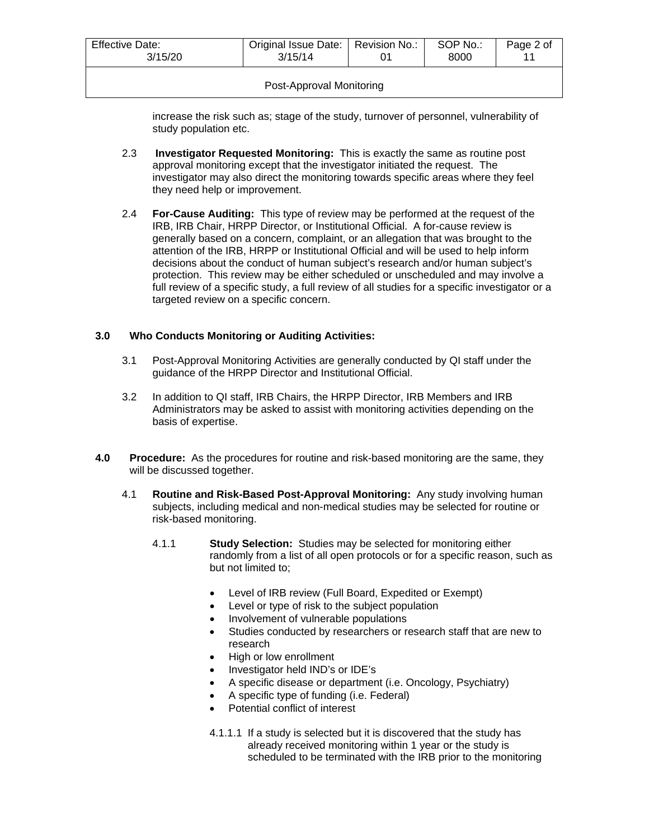| Effective Date:<br>3/15/20 | Original Issue Date:   Revision No.:<br>3/15/14 |  | SOP No.:<br>8000 | Page 2 of |
|----------------------------|-------------------------------------------------|--|------------------|-----------|
| Post-Approval Monitoring   |                                                 |  |                  |           |

increase the risk such as; stage of the study, turnover of personnel, vulnerability of study population etc.

- 2.3 **Investigator Requested Monitoring:** This is exactly the same as routine post approval monitoring except that the investigator initiated the request. The investigator may also direct the monitoring towards specific areas where they feel they need help or improvement.
- 2.4 **For-Cause Auditing:** This type of review may be performed at the request of the IRB, IRB Chair, HRPP Director, or Institutional Official. A for-cause review is generally based on a concern, complaint, or an allegation that was brought to the attention of the IRB, HRPP or Institutional Official and will be used to help inform decisions about the conduct of human subject's research and/or human subject's protection. This review may be either scheduled or unscheduled and may involve a full review of a specific study, a full review of all studies for a specific investigator or a targeted review on a specific concern.

### **3.0 Who Conducts Monitoring or Auditing Activities:**

- 3.1 Post-Approval Monitoring Activities are generally conducted by QI staff under the guidance of the HRPP Director and Institutional Official.
- 3.2 In addition to QI staff, IRB Chairs, the HRPP Director, IRB Members and IRB Administrators may be asked to assist with monitoring activities depending on the basis of expertise.
- **4.0 Procedure:** As the procedures for routine and risk-based monitoring are the same, they will be discussed together.
	- 4.1 **Routine and Risk-Based Post-Approval Monitoring:** Any study involving human subjects, including medical and non-medical studies may be selected for routine or risk-based monitoring.
		- 4.1.1 **Study Selection:** Studies may be selected for monitoring either randomly from a list of all open protocols or for a specific reason, such as but not limited to;
			- Level of IRB review (Full Board, Expedited or Exempt)
			- Level or type of risk to the subject population
			- Involvement of vulnerable populations
			- Studies conducted by researchers or research staff that are new to research
			- High or low enrollment
			- Investigator held IND's or IDE's
			- A specific disease or department (i.e. Oncology, Psychiatry)
			- A specific type of funding (i.e. Federal)
			- Potential conflict of interest
			- 4.1.1.1 If a study is selected but it is discovered that the study has already received monitoring within 1 year or the study is scheduled to be terminated with the IRB prior to the monitoring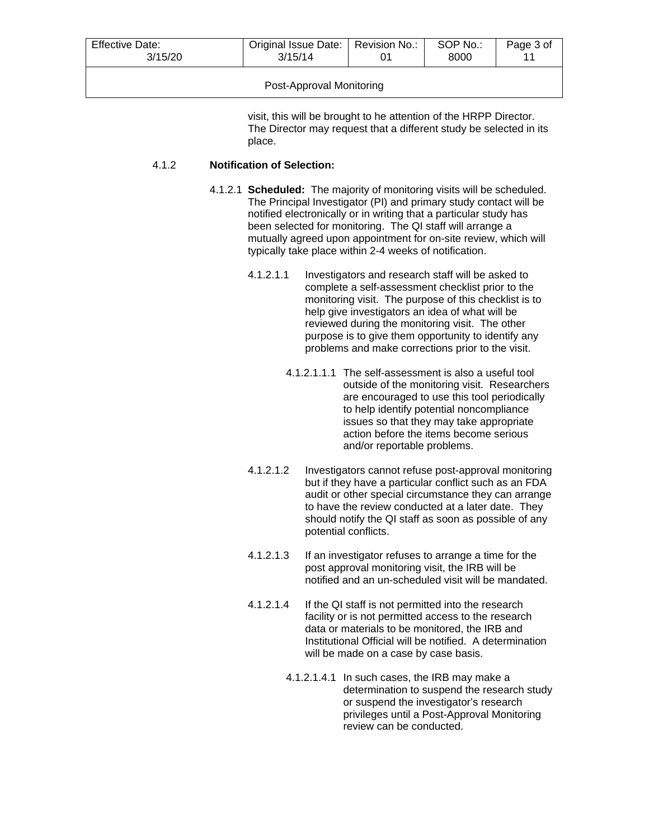| <b>Effective Date:</b>   | Original Issue Date:   Revision No.: |  | SOP No.: | Page 3 of |
|--------------------------|--------------------------------------|--|----------|-----------|
| 3/15/20                  | 3/15/14                              |  | 8000     | 11        |
| Post-Approval Monitoring |                                      |  |          |           |

visit, this will be brought to he attention of the HRPP Director. The Director may request that a different study be selected in its place.

# 4.1.2 **Notification of Selection:**

- 4.1.2.1 **Scheduled:** The majority of monitoring visits will be scheduled. The Principal Investigator (PI) and primary study contact will be notified electronically or in writing that a particular study has been selected for monitoring. The QI staff will arrange a mutually agreed upon appointment for on-site review, which will typically take place within 2-4 weeks of notification.
	- 4.1.2.1.1 Investigators and research staff will be asked to complete a self-assessment checklist prior to the monitoring visit. The purpose of this checklist is to help give investigators an idea of what will be reviewed during the monitoring visit. The other purpose is to give them opportunity to identify any problems and make corrections prior to the visit.
		- 4.1.2.1.1.1 The self-assessment is also a useful tool outside of the monitoring visit. Researchers are encouraged to use this tool periodically to help identify potential noncompliance issues so that they may take appropriate action before the items become serious and/or reportable problems.
	- 4.1.2.1.2 Investigators cannot refuse post-approval monitoring but if they have a particular conflict such as an FDA audit or other special circumstance they can arrange to have the review conducted at a later date. They should notify the QI staff as soon as possible of any potential conflicts.
	- 4.1.2.1.3 If an investigator refuses to arrange a time for the post approval monitoring visit, the IRB will be notified and an un-scheduled visit will be mandated.
	- 4.1.2.1.4 If the QI staff is not permitted into the research facility or is not permitted access to the research data or materials to be monitored, the IRB and Institutional Official will be notified. A determination will be made on a case by case basis.
		- 4.1.2.1.4.1 In such cases, the IRB may make a determination to suspend the research study or suspend the investigator's research privileges until a Post-Approval Monitoring review can be conducted.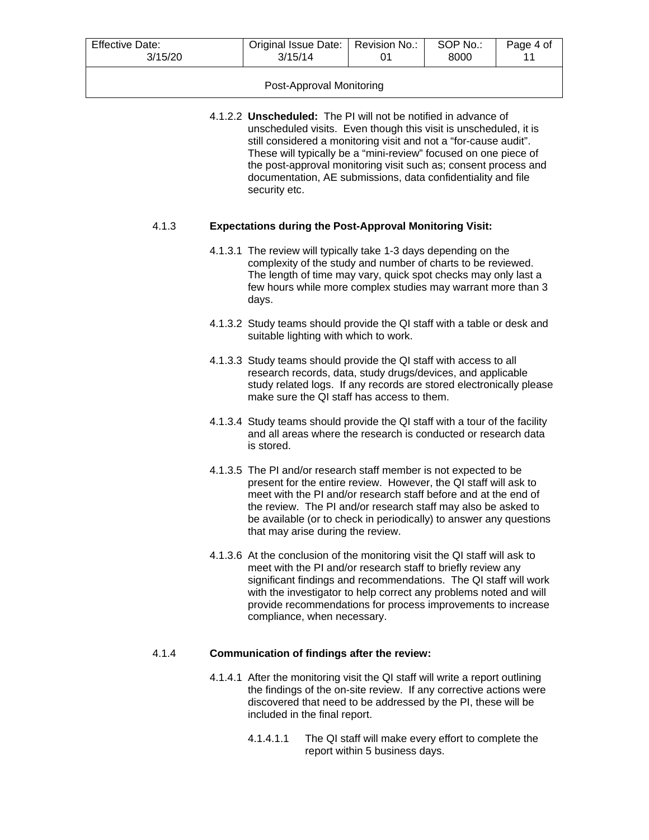| <b>Effective Date:</b> | Original Issue Date:   Revision No.: |  | SOP No.: | Page 4 of |
|------------------------|--------------------------------------|--|----------|-----------|
| 3/15/20                | 3/15/14                              |  | 8000     |           |

### Post-Approval Monitoring

4.1.2.2 **Unscheduled:** The PI will not be notified in advance of unscheduled visits. Even though this visit is unscheduled, it is still considered a monitoring visit and not a "for-cause audit". These will typically be a "mini-review" focused on one piece of the post-approval monitoring visit such as; consent process and documentation, AE submissions, data confidentiality and file security etc.

### 4.1.3 **Expectations during the Post-Approval Monitoring Visit:**

- 4.1.3.1 The review will typically take 1-3 days depending on the complexity of the study and number of charts to be reviewed. The length of time may vary, quick spot checks may only last a few hours while more complex studies may warrant more than 3 days.
- 4.1.3.2 Study teams should provide the QI staff with a table or desk and suitable lighting with which to work.
- 4.1.3.3 Study teams should provide the QI staff with access to all research records, data, study drugs/devices, and applicable study related logs. If any records are stored electronically please make sure the QI staff has access to them.
- 4.1.3.4 Study teams should provide the QI staff with a tour of the facility and all areas where the research is conducted or research data is stored.
- 4.1.3.5 The PI and/or research staff member is not expected to be present for the entire review. However, the QI staff will ask to meet with the PI and/or research staff before and at the end of the review. The PI and/or research staff may also be asked to be available (or to check in periodically) to answer any questions that may arise during the review.
- 4.1.3.6 At the conclusion of the monitoring visit the QI staff will ask to meet with the PI and/or research staff to briefly review any significant findings and recommendations. The QI staff will work with the investigator to help correct any problems noted and will provide recommendations for process improvements to increase compliance, when necessary.

# 4.1.4 **Communication of findings after the review:**

- 4.1.4.1 After the monitoring visit the QI staff will write a report outlining the findings of the on-site review. If any corrective actions were discovered that need to be addressed by the PI, these will be included in the final report.
	- 4.1.4.1.1 The QI staff will make every effort to complete the report within 5 business days.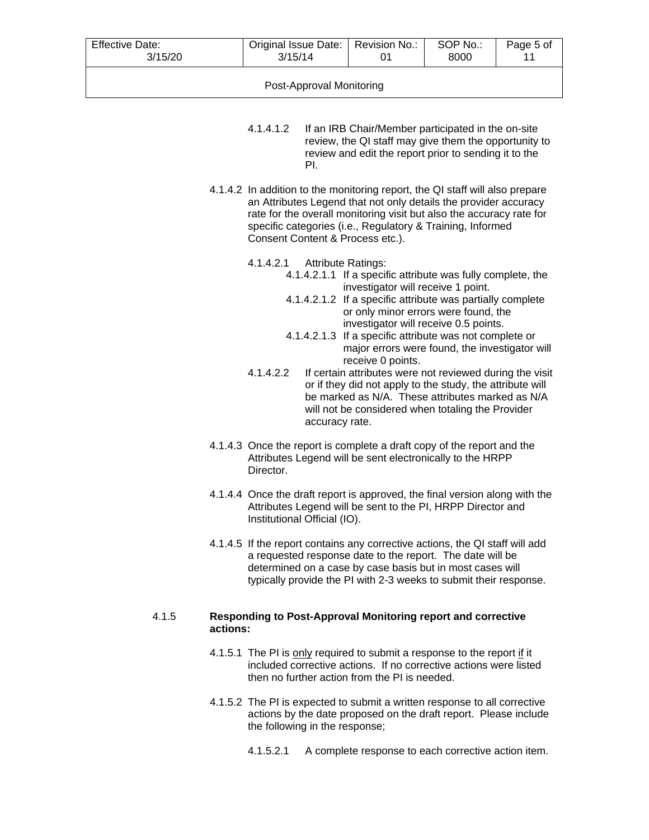| <b>Effective Date:</b><br>3/15/20 | Original Issue Date:   Revision No.:<br>3/15/14 |  | SOP No.:<br>8000 | Page 5 of |  |
|-----------------------------------|-------------------------------------------------|--|------------------|-----------|--|
| Post-Approval Monitoring          |                                                 |  |                  |           |  |

- 4.1.4.1.2 If an IRB Chair/Member participated in the on-site review, the QI staff may give them the opportunity to review and edit the report prior to sending it to the PI.
- 4.1.4.2 In addition to the monitoring report, the QI staff will also prepare an Attributes Legend that not only details the provider accuracy rate for the overall monitoring visit but also the accuracy rate for specific categories (i.e., Regulatory & Training, Informed Consent Content & Process etc.).
	- 4.1.4.2.1 Attribute Ratings:
		- 4.1.4.2.1.1 If a specific attribute was fully complete, the investigator will receive 1 point.
		- 4.1.4.2.1.2 If a specific attribute was partially complete or only minor errors were found, the investigator will receive 0.5 points.
		- 4.1.4.2.1.3 If a specific attribute was not complete or major errors were found, the investigator will receive 0 points.
	- 4.1.4.2.2 If certain attributes were not reviewed during the visit or if they did not apply to the study, the attribute will be marked as N/A. These attributes marked as N/A will not be considered when totaling the Provider accuracy rate.
- 4.1.4.3 Once the report is complete a draft copy of the report and the Attributes Legend will be sent electronically to the HRPP Director.
- 4.1.4.4 Once the draft report is approved, the final version along with the Attributes Legend will be sent to the PI, HRPP Director and Institutional Official (IO).
- 4.1.4.5 If the report contains any corrective actions, the QI staff will add a requested response date to the report. The date will be determined on a case by case basis but in most cases will typically provide the PI with 2-3 weeks to submit their response.

#### 4.1.5 **Responding to Post-Approval Monitoring report and corrective actions:**

- 4.1.5.1 The PI is only required to submit a response to the report if it included corrective actions. If no corrective actions were listed then no further action from the PI is needed.
- 4.1.5.2 The PI is expected to submit a written response to all corrective actions by the date proposed on the draft report. Please include the following in the response;
	- 4.1.5.2.1 A complete response to each corrective action item.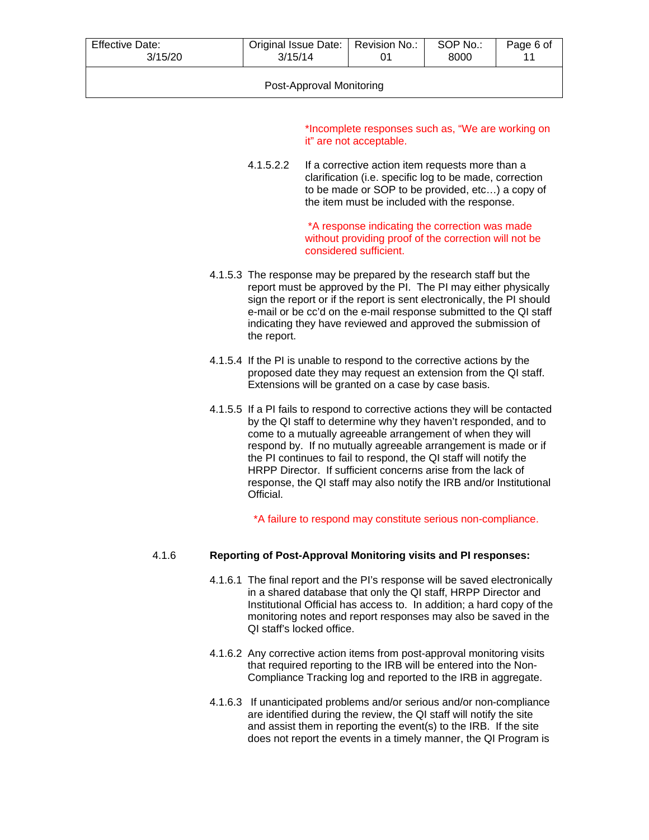| <b>Effective Date:</b>   | Original Issue Date:   Revision No.: |  | SOP No.: | Page 6 of |
|--------------------------|--------------------------------------|--|----------|-----------|
| 3/15/20                  | 3/15/14                              |  | 8000     | 11        |
| Post-Approval Monitoring |                                      |  |          |           |

\*Incomplete responses such as, "We are working on it" are not acceptable.

4.1.5.2.2 If a corrective action item requests more than a clarification (i.e. specific log to be made, correction to be made or SOP to be provided, etc…) a copy of the item must be included with the response.

> \*A response indicating the correction was made without providing proof of the correction will not be considered sufficient.

- 4.1.5.3 The response may be prepared by the research staff but the report must be approved by the PI. The PI may either physically sign the report or if the report is sent electronically, the PI should e-mail or be cc'd on the e-mail response submitted to the QI staff indicating they have reviewed and approved the submission of the report.
- 4.1.5.4 If the PI is unable to respond to the corrective actions by the proposed date they may request an extension from the QI staff. Extensions will be granted on a case by case basis.
- 4.1.5.5 If a PI fails to respond to corrective actions they will be contacted by the QI staff to determine why they haven't responded, and to come to a mutually agreeable arrangement of when they will respond by. If no mutually agreeable arrangement is made or if the PI continues to fail to respond, the QI staff will notify the HRPP Director. If sufficient concerns arise from the lack of response, the QI staff may also notify the IRB and/or Institutional Official.

\*A failure to respond may constitute serious non-compliance.

#### 4.1.6 **Reporting of Post-Approval Monitoring visits and PI responses:**

- 4.1.6.1 The final report and the PI's response will be saved electronically in a shared database that only the QI staff, HRPP Director and Institutional Official has access to. In addition; a hard copy of the monitoring notes and report responses may also be saved in the QI staff's locked office.
- 4.1.6.2 Any corrective action items from post-approval monitoring visits that required reporting to the IRB will be entered into the Non-Compliance Tracking log and reported to the IRB in aggregate.
- 4.1.6.3 If unanticipated problems and/or serious and/or non-compliance are identified during the review, the QI staff will notify the site and assist them in reporting the event(s) to the IRB. If the site does not report the events in a timely manner, the QI Program is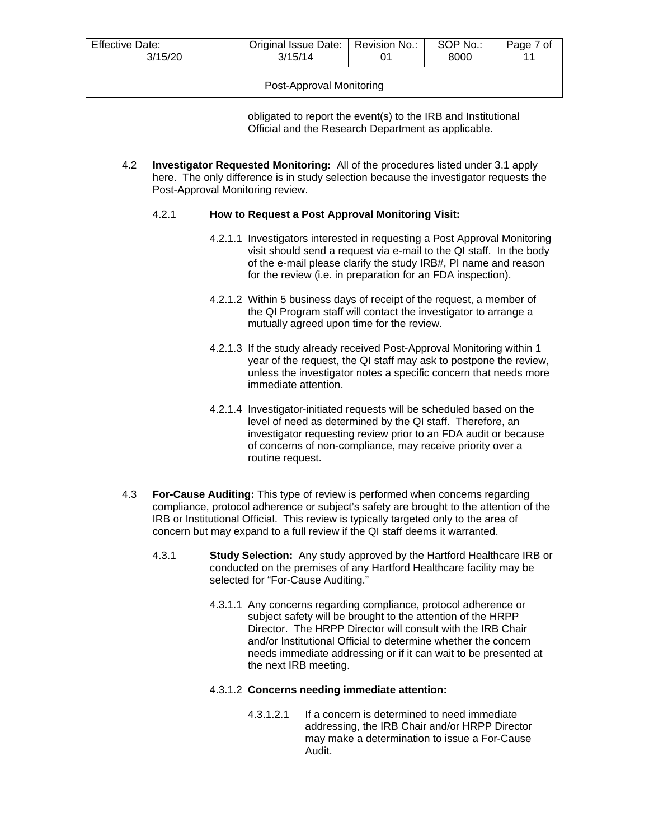| Effective Date:<br>3/15/20 | Original Issue Date:   Revision No.:<br>3/15/14 |  | SOP No.:<br>8000 | Page 7 of |
|----------------------------|-------------------------------------------------|--|------------------|-----------|
| Post-Approval Monitoring   |                                                 |  |                  |           |

obligated to report the event(s) to the IRB and Institutional Official and the Research Department as applicable.

4.2 **Investigator Requested Monitoring:** All of the procedures listed under 3.1 apply here. The only difference is in study selection because the investigator requests the Post-Approval Monitoring review.

# 4.2.1 **How to Request a Post Approval Monitoring Visit:**

- 4.2.1.1 Investigators interested in requesting a Post Approval Monitoring visit should send a request via e-mail to the QI staff. In the body of the e-mail please clarify the study IRB#, PI name and reason for the review (i.e. in preparation for an FDA inspection).
- 4.2.1.2 Within 5 business days of receipt of the request, a member of the QI Program staff will contact the investigator to arrange a mutually agreed upon time for the review.
- 4.2.1.3 If the study already received Post-Approval Monitoring within 1 year of the request, the QI staff may ask to postpone the review, unless the investigator notes a specific concern that needs more immediate attention.
- 4.2.1.4 Investigator-initiated requests will be scheduled based on the level of need as determined by the QI staff. Therefore, an investigator requesting review prior to an FDA audit or because of concerns of non-compliance, may receive priority over a routine request.
- 4.3 **For-Cause Auditing:** This type of review is performed when concerns regarding compliance, protocol adherence or subject's safety are brought to the attention of the IRB or Institutional Official. This review is typically targeted only to the area of concern but may expand to a full review if the QI staff deems it warranted.
	- 4.3.1 **Study Selection:** Any study approved by the Hartford Healthcare IRB or conducted on the premises of any Hartford Healthcare facility may be selected for "For-Cause Auditing."
		- 4.3.1.1 Any concerns regarding compliance, protocol adherence or subject safety will be brought to the attention of the HRPP Director. The HRPP Director will consult with the IRB Chair and/or Institutional Official to determine whether the concern needs immediate addressing or if it can wait to be presented at the next IRB meeting.

# 4.3.1.2 **Concerns needing immediate attention:**

4.3.1.2.1 If a concern is determined to need immediate addressing, the IRB Chair and/or HRPP Director may make a determination to issue a For-Cause Audit.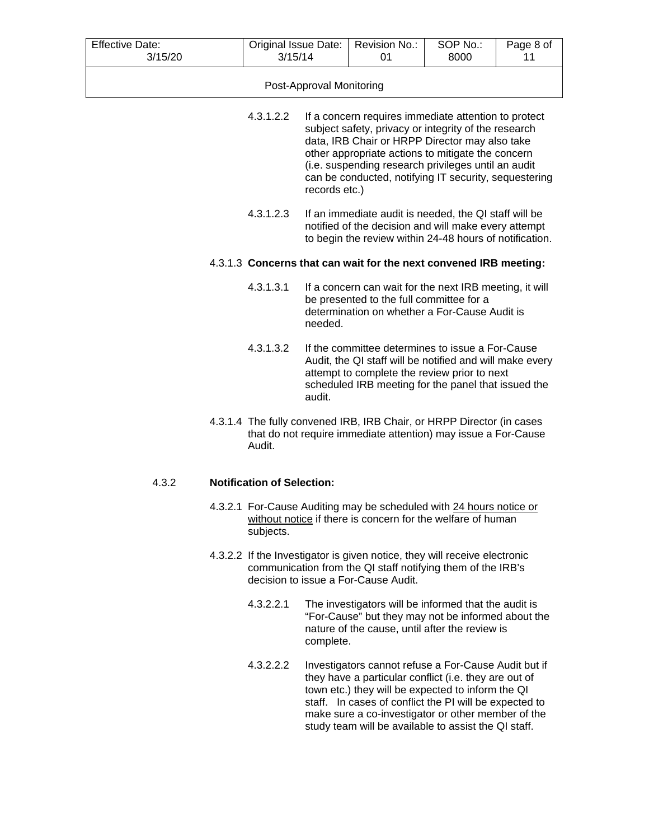| <b>Effective Date:</b><br>3/15/20                                 | Original Issue Date:<br>3/15/14                                                                                                                                                       |                          | Revision No.:<br>01                                                                                                                                                                                                                                                                                                                 | SOP No.:<br>8000 | Page 8 of<br>11 |
|-------------------------------------------------------------------|---------------------------------------------------------------------------------------------------------------------------------------------------------------------------------------|--------------------------|-------------------------------------------------------------------------------------------------------------------------------------------------------------------------------------------------------------------------------------------------------------------------------------------------------------------------------------|------------------|-----------------|
|                                                                   |                                                                                                                                                                                       | Post-Approval Monitoring |                                                                                                                                                                                                                                                                                                                                     |                  |                 |
|                                                                   | 4.3.1.2.2                                                                                                                                                                             | records etc.)            | If a concern requires immediate attention to protect<br>subject safety, privacy or integrity of the research<br>data, IRB Chair or HRPP Director may also take<br>other appropriate actions to mitigate the concern<br>(i.e. suspending research privileges until an audit<br>can be conducted, notifying IT security, sequestering |                  |                 |
|                                                                   | 4.3.1.2.3<br>If an immediate audit is needed, the QI staff will be<br>notified of the decision and will make every attempt<br>to begin the review within 24-48 hours of notification. |                          |                                                                                                                                                                                                                                                                                                                                     |                  |                 |
| 4.3.1.3 Concerns that can wait for the next convened IRB meeting: |                                                                                                                                                                                       |                          |                                                                                                                                                                                                                                                                                                                                     |                  |                 |
|                                                                   | 4.3.1.3.1                                                                                                                                                                             | needed.                  | If a concern can wait for the next IRB meeting, it will<br>be presented to the full committee for a<br>determination on whether a For-Cause Audit is                                                                                                                                                                                |                  |                 |
|                                                                   | 4.3.1.3.2                                                                                                                                                                             | audit.                   | If the committee determines to issue a For-Cause<br>Audit, the QI staff will be notified and will make every<br>attempt to complete the review prior to next<br>scheduled IRB meeting for the panel that issued the                                                                                                                 |                  |                 |
|                                                                   | Audit.                                                                                                                                                                                |                          | 4.3.1.4 The fully convened IRB, IRB Chair, or HRPP Director (in cases<br>that do not require immediate attention) may issue a For-Cause                                                                                                                                                                                             |                  |                 |
| 4.3.2                                                             | <b>Notification of Selection:</b>                                                                                                                                                     |                          |                                                                                                                                                                                                                                                                                                                                     |                  |                 |
|                                                                   | subjects.                                                                                                                                                                             |                          | 4.3.2.1 For-Cause Auditing may be scheduled with 24 hours notice or<br>without notice if there is concern for the welfare of human                                                                                                                                                                                                  |                  |                 |
|                                                                   |                                                                                                                                                                                       |                          | 4.3.2.2 If the Investigator is given notice, they will receive electronic<br>communication from the QI staff notifying them of the IRB's<br>decision to issue a For-Cause Audit.                                                                                                                                                    |                  |                 |

- 4.3.2.2.1 The investigators will be informed that the audit is "For-Cause" but they may not be informed about the nature of the cause, until after the review is complete.
- 4.3.2.2.2 Investigators cannot refuse a For-Cause Audit but if they have a particular conflict (i.e. they are out of town etc.) they will be expected to inform the QI staff. In cases of conflict the PI will be expected to make sure a co-investigator or other member of the study team will be available to assist the QI staff.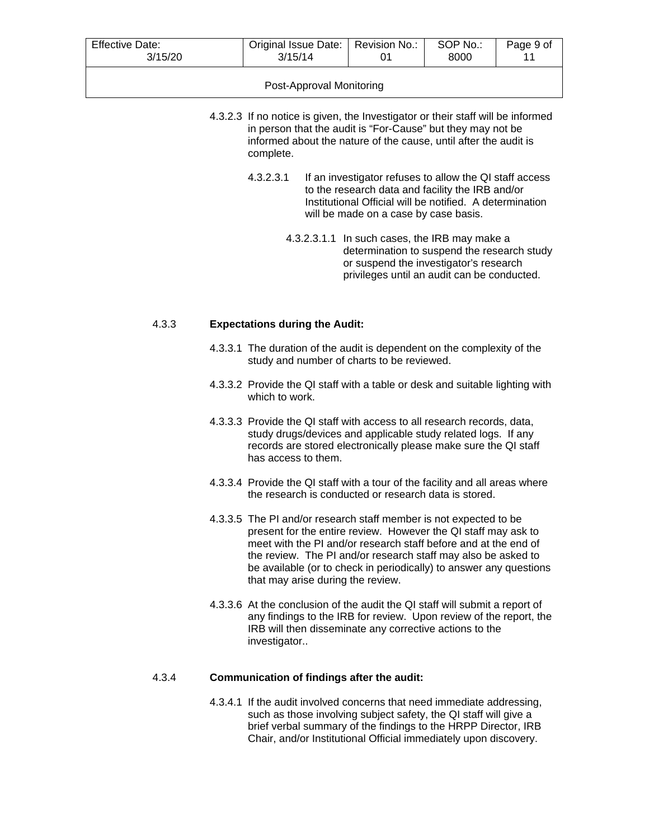| <b>Effective Date:</b>   | Original Issue Date:   Revision No.: |  | SOP No.: | Page 9 of |
|--------------------------|--------------------------------------|--|----------|-----------|
| 3/15/20                  | 3/15/14                              |  | 8000     | 11        |
| Post-Approval Monitoring |                                      |  |          |           |

- 4.3.2.3 If no notice is given, the Investigator or their staff will be informed in person that the audit is "For-Cause" but they may not be informed about the nature of the cause, until after the audit is complete.
	- 4.3.2.3.1 If an investigator refuses to allow the QI staff access to the research data and facility the IRB and/or Institutional Official will be notified. A determination will be made on a case by case basis.
		- 4.3.2.3.1.1 In such cases, the IRB may make a determination to suspend the research study or suspend the investigator's research privileges until an audit can be conducted.

#### 4.3.3 **Expectations during the Audit:**

- 4.3.3.1 The duration of the audit is dependent on the complexity of the study and number of charts to be reviewed.
- 4.3.3.2 Provide the QI staff with a table or desk and suitable lighting with which to work.
- 4.3.3.3 Provide the QI staff with access to all research records, data, study drugs/devices and applicable study related logs. If any records are stored electronically please make sure the QI staff has access to them.
- 4.3.3.4 Provide the QI staff with a tour of the facility and all areas where the research is conducted or research data is stored.
- 4.3.3.5 The PI and/or research staff member is not expected to be present for the entire review. However the QI staff may ask to meet with the PI and/or research staff before and at the end of the review. The PI and/or research staff may also be asked to be available (or to check in periodically) to answer any questions that may arise during the review.
- 4.3.3.6 At the conclusion of the audit the QI staff will submit a report of any findings to the IRB for review. Upon review of the report, the IRB will then disseminate any corrective actions to the investigator..

#### 4.3.4 **Communication of findings after the audit:**

4.3.4.1 If the audit involved concerns that need immediate addressing, such as those involving subject safety, the QI staff will give a brief verbal summary of the findings to the HRPP Director, IRB Chair, and/or Institutional Official immediately upon discovery.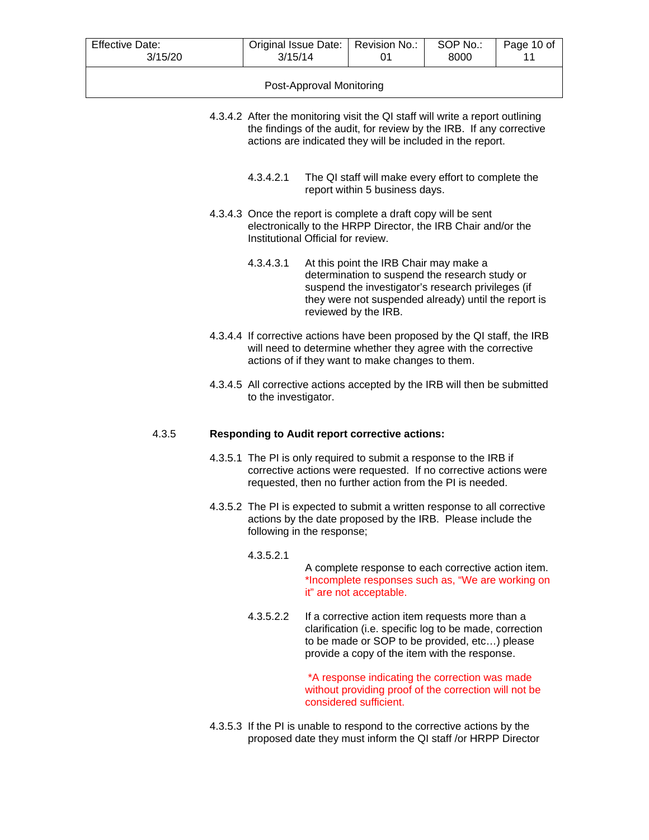| <b>Effective Date:</b>   | Original Issue Date:   Revision No.: |  | SOP No.: | Page 10 of |
|--------------------------|--------------------------------------|--|----------|------------|
| 3/15/20                  | 3/15/14                              |  | 8000     | 11         |
| Post-Approval Monitoring |                                      |  |          |            |

- 4.3.4.2 After the monitoring visit the QI staff will write a report outlining the findings of the audit, for review by the IRB. If any corrective actions are indicated they will be included in the report.
	- 4.3.4.2.1 The QI staff will make every effort to complete the report within 5 business days.
- 4.3.4.3 Once the report is complete a draft copy will be sent electronically to the HRPP Director, the IRB Chair and/or the Institutional Official for review.
	- 4.3.4.3.1 At this point the IRB Chair may make a determination to suspend the research study or suspend the investigator's research privileges (if they were not suspended already) until the report is reviewed by the IRB.
- 4.3.4.4 If corrective actions have been proposed by the QI staff, the IRB will need to determine whether they agree with the corrective actions of if they want to make changes to them.
- 4.3.4.5 All corrective actions accepted by the IRB will then be submitted to the investigator.

#### 4.3.5 **Responding to Audit report corrective actions:**

- 4.3.5.1 The PI is only required to submit a response to the IRB if corrective actions were requested. If no corrective actions were requested, then no further action from the PI is needed.
- 4.3.5.2 The PI is expected to submit a written response to all corrective actions by the date proposed by the IRB. Please include the following in the response;

#### 4.3.5.2.1

A complete response to each corrective action item. \*Incomplete responses such as, "We are working on it" are not acceptable.

4.3.5.2.2 If a corrective action item requests more than a clarification (i.e. specific log to be made, correction to be made or SOP to be provided, etc…) please provide a copy of the item with the response.

> \*A response indicating the correction was made without providing proof of the correction will not be considered sufficient.

4.3.5.3 If the PI is unable to respond to the corrective actions by the proposed date they must inform the QI staff /or HRPP Director